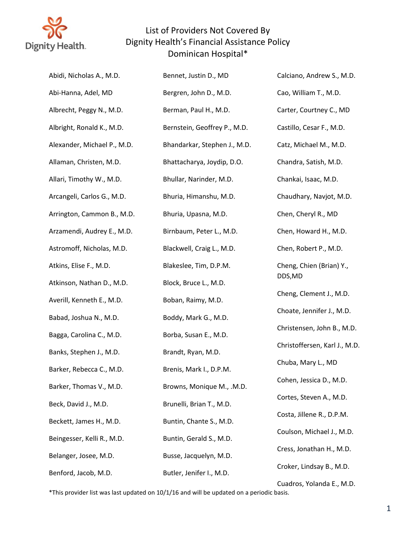

| Abidi, Nicholas A., M.D.    | Bennet, Justin D., MD        | Calciano, Andrew S., M.D.     |
|-----------------------------|------------------------------|-------------------------------|
| Abi-Hanna, Adel, MD         | Bergren, John D., M.D.       | Cao, William T., M.D.         |
| Albrecht, Peggy N., M.D.    | Berman, Paul H., M.D.        | Carter, Courtney C., MD       |
| Albright, Ronald K., M.D.   | Bernstein, Geoffrey P., M.D. | Castillo, Cesar F., M.D.      |
| Alexander, Michael P., M.D. | Bhandarkar, Stephen J., M.D. | Catz, Michael M., M.D.        |
| Allaman, Christen, M.D.     | Bhattacharya, Joydip, D.O.   | Chandra, Satish, M.D.         |
| Allari, Timothy W., M.D.    | Bhullar, Narinder, M.D.      | Chankai, Isaac, M.D.          |
| Arcangeli, Carlos G., M.D.  | Bhuria, Himanshu, M.D.       | Chaudhary, Navjot, M.D.       |
| Arrington, Cammon B., M.D.  | Bhuria, Upasna, M.D.         | Chen, Cheryl R., MD           |
| Arzamendi, Audrey E., M.D.  | Birnbaum, Peter L., M.D.     | Chen, Howard H., M.D.         |
| Astromoff, Nicholas, M.D.   | Blackwell, Craig L., M.D.    | Chen, Robert P., M.D.         |
| Atkins, Elise F., M.D.      | Blakeslee, Tim, D.P.M.       | Cheng, Chien (Brian) Y.,      |
| Atkinson, Nathan D., M.D.   | Block, Bruce L., M.D.        | DDS,MD                        |
| Averill, Kenneth E., M.D.   | Boban, Raimy, M.D.           | Cheng, Clement J., M.D.       |
| Babad, Joshua N., M.D.      | Boddy, Mark G., M.D.         | Choate, Jennifer J., M.D.     |
| Bagga, Carolina C., M.D.    | Borba, Susan E., M.D.        | Christensen, John B., M.D.    |
| Banks, Stephen J., M.D.     | Brandt, Ryan, M.D.           | Christoffersen, Karl J., M.D. |
| Barker, Rebecca C., M.D.    | Brenis, Mark I., D.P.M.      | Chuba, Mary L., MD            |
| Barker, Thomas V., M.D.     | Browns, Monique M., .M.D.    | Cohen, Jessica D., M.D.       |
| Beck, David J., M.D.        | Brunelli, Brian T., M.D.     | Cortes, Steven A., M.D.       |
| Beckett, James H., M.D.     | Buntin, Chante S., M.D.      | Costa, Jillene R., D.P.M.     |
| Beingesser, Kelli R., M.D.  | Buntin, Gerald S., M.D.      | Coulson, Michael J., M.D.     |
| Belanger, Josee, M.D.       | Busse, Jacquelyn, M.D.       | Cress, Jonathan H., M.D.      |
| Benford, Jacob, M.D.        | Butler, Jenifer I., M.D.     | Croker, Lindsay B., M.D.      |
|                             |                              | Cuadros, Yolanda E., M.D.     |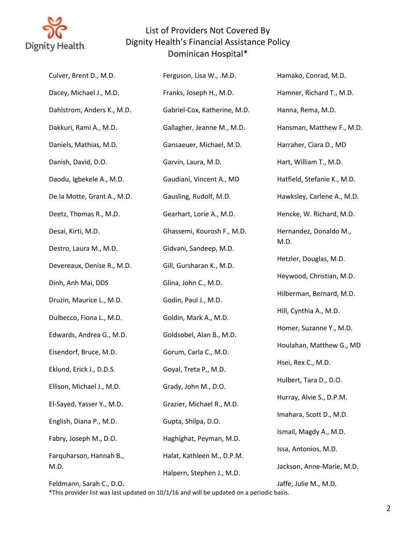

| Culver, Brent D., M.D.          | Ferguson, Lisa W., .M.D.     | Hamako, Conrad, M.D.        |
|---------------------------------|------------------------------|-----------------------------|
| Dacey, Michael J., M.D.         | Franks, Joseph H., M.D.      | Hamner, Richard T., M.D.    |
| Dahlstrom, Anders K., M.D.      | Gabriel-Cox, Katherine, M.D. | Hanna, Rema, M.D.           |
| Dakkuri, Rami A., M.D.          | Gallagher, Jeanne M., M.D.   | Hansman, Matthew F., M.D.   |
| Daniels, Mathias, M.D.          | Gansaeuer, Michael, M.D.     | Harraher, Ciara D., MD      |
| Danish, David, D.O.             | Garvin, Laura, M.D.          | Hart, William T., M.D.      |
| Daodu, Igbekele A., M.D.        | Gaudiani, Vincent A., MD     | Hatfield, Stefanie K., M.D. |
| De la Motte, Grant A., M.D.     | Gausling, Rudolf, M.D.       | Hawksley, Carlene A., M.D.  |
| Deetz, Thomas R., M.D.          | Gearhart, Lorie A., M.D.     | Hencke, W. Richard, M.D.    |
| Desai, Kirti, M.D.              | Ghassemi, Kourosh F., M.D.   | Hernandez, Donaldo M.,      |
| Destro, Laura M., M.D.          | Gidvani, Sandeep, M.D.       | M.D.                        |
| Devereaux, Denise R., M.D.      | Gill, Gursharan K., M.D.     | Hetzler, Douglas, M.D.      |
| Dinh, Anh Mai, DDS              | Glina, John C., M.D.         | Heywood, Christian, M.D.    |
| Druzin, Maurice L., M.D.        | Godin, Paul J., M.D.         | Hilberman, Bernard, M.D.    |
| Dulbecco, Fiona L., M.D.        | Goldin, Mark A., M.D.        | Hill, Cynthia A., M.D.      |
| Edwards, Andrea G., M.D.        | Goldsobel, Alan B., M.D.     | Homer, Suzanne Y., M.D.     |
| Eisendorf, Bruce, M.D.          | Gorum, Carla C., M.D.        | Houlahan, Matthew G., MD    |
| Eklund, Erick J., D.D.S.        | Goyal, Treta P., M.D.        | Hsei, Rex C., M.D.          |
| Ellison, Michael J., M.D.       | Grady, John M., D.O.         | Hulbert, Tara D., D.O.      |
| El-Sayed, Yasser Y., M.D.       | Grazier, Michael R., M.D.    | Hurray, Alvie S., D.P.M.    |
| English, Diana P., M.D.         | Gupta, Shilpa, D.O.          | Imahara, Scott D., M.D.     |
| Fabry, Joseph M., D.O.          | Haghighat, Peyman, M.D.      | Ismail, Magdy A., M.D.      |
| Farquharson, Hannah B.,<br>M.D. | Halat, Kathleen M., D.P.M.   | Issa, Antonios, M.D.        |
|                                 | Halpern, Stephen J., M.D.    | Jackson, Anne-Marie, M.D.   |

Feldmann, Sarah C., D.O.

Jaffe, Julie M., M.D.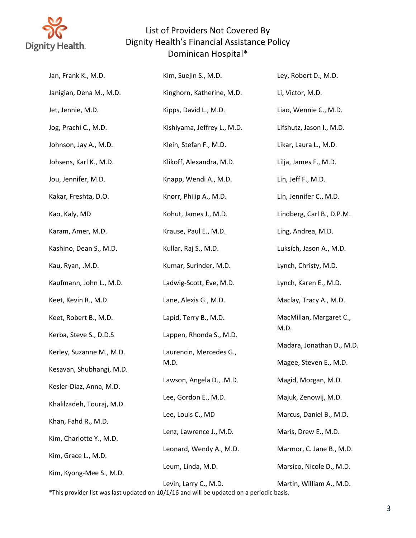

| Jan, Frank K., M.D.       | Kim, Suejin S., M.D.        | Ley, Robert D., M.D.      |
|---------------------------|-----------------------------|---------------------------|
| Janigian, Dena M., M.D.   | Kinghorn, Katherine, M.D.   | Li, Victor, M.D.          |
| Jet, Jennie, M.D.         | Kipps, David L., M.D.       | Liao, Wennie C., M.D.     |
| Jog, Prachi C., M.D.      | Kishiyama, Jeffrey L., M.D. | Lifshutz, Jason I., M.D.  |
| Johnson, Jay A., M.D.     | Klein, Stefan F., M.D.      | Likar, Laura L., M.D.     |
| Johsens, Karl K., M.D.    | Klikoff, Alexandra, M.D.    | Lilja, James F., M.D.     |
| Jou, Jennifer, M.D.       | Knapp, Wendi A., M.D.       | Lin, Jeff F., M.D.        |
| Kakar, Freshta, D.O.      | Knorr, Philip A., M.D.      | Lin, Jennifer C., M.D.    |
| Kao, Kaly, MD             | Kohut, James J., M.D.       | Lindberg, Carl B., D.P.M. |
| Karam, Amer, M.D.         | Krause, Paul E., M.D.       | Ling, Andrea, M.D.        |
| Kashino, Dean S., M.D.    | Kullar, Raj S., M.D.        | Luksich, Jason A., M.D.   |
| Kau, Ryan, .M.D.          | Kumar, Surinder, M.D.       | Lynch, Christy, M.D.      |
| Kaufmann, John L., M.D.   | Ladwig-Scott, Eve, M.D.     | Lynch, Karen E., M.D.     |
| Keet, Kevin R., M.D.      | Lane, Alexis G., M.D.       | Maclay, Tracy A., M.D.    |
| Keet, Robert B., M.D.     | Lapid, Terry B., M.D.       | MacMillan, Margaret C.,   |
| Kerba, Steve S., D.D.S    | Lappen, Rhonda S., M.D.     | M.D.                      |
| Kerley, Suzanne M., M.D.  | Laurencin, Mercedes G.,     | Madara, Jonathan D., M.D. |
| Kesavan, Shubhangi, M.D.  | M.D.                        | Magee, Steven E., M.D.    |
| Kesler-Diaz, Anna, M.D.   | Lawson, Angela D., .M.D.    | Magid, Morgan, M.D.       |
| Khalilzadeh, Touraj, M.D. | Lee, Gordon E., M.D.        | Majuk, Zenowij, M.D.      |
| Khan, Fahd R., M.D.       | Lee, Louis C., MD           | Marcus, Daniel B., M.D.   |
| Kim, Charlotte Y., M.D.   | Lenz, Lawrence J., M.D.     | Maris, Drew E., M.D.      |
| Kim, Grace L., M.D.       | Leonard, Wendy A., M.D.     | Marmor, C. Jane B., M.D.  |
| Kim, Kyong-Mee S., M.D.   | Leum, Linda, M.D.           | Marsico, Nicole D., M.D.  |
|                           | Levin, Larry C., M.D.       | Martin, William A., M.D.  |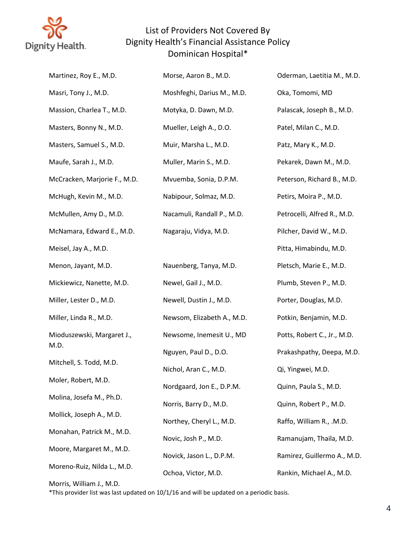

| Martinez, Roy E., M.D.       | Morse, Aaron B., M.D.      | Oderman, Laetitia M., M.D.  |
|------------------------------|----------------------------|-----------------------------|
| Masri, Tony J., M.D.         | Moshfeghi, Darius M., M.D. | Oka, Tomomi, MD             |
| Massion, Charlea T., M.D.    | Motyka, D. Dawn, M.D.      | Palascak, Joseph B., M.D.   |
| Masters, Bonny N., M.D.      | Mueller, Leigh A., D.O.    | Patel, Milan C., M.D.       |
| Masters, Samuel S., M.D.     | Muir, Marsha L., M.D.      | Patz, Mary K., M.D.         |
| Maufe, Sarah J., M.D.        | Muller, Marin S., M.D.     | Pekarek, Dawn M., M.D.      |
| McCracken, Marjorie F., M.D. | Mvuemba, Sonia, D.P.M.     | Peterson, Richard B., M.D.  |
| McHugh, Kevin M., M.D.       | Nabipour, Solmaz, M.D.     | Petirs, Moira P., M.D.      |
| McMullen, Amy D., M.D.       | Nacamuli, Randall P., M.D. | Petrocelli, Alfred R., M.D. |
| McNamara, Edward E., M.D.    | Nagaraju, Vidya, M.D.      | Pilcher, David W., M.D.     |
| Meisel, Jay A., M.D.         |                            | Pitta, Himabindu, M.D.      |
| Menon, Jayant, M.D.          | Nauenberg, Tanya, M.D.     | Pletsch, Marie E., M.D.     |
| Mickiewicz, Nanette, M.D.    | Newel, Gail J., M.D.       | Plumb, Steven P., M.D.      |
| Miller, Lester D., M.D.      | Newell, Dustin J., M.D.    | Porter, Douglas, M.D.       |
| Miller, Linda R., M.D.       | Newsom, Elizabeth A., M.D. | Potkin, Benjamin, M.D.      |
| Mioduszewski, Margaret J.,   | Newsome, Inemesit U., MD   | Potts, Robert C., Jr., M.D. |
| M.D.                         | Nguyen, Paul D., D.O.      | Prakashpathy, Deepa, M.D.   |
| Mitchell, S. Todd, M.D.      | Nichol, Aran C., M.D.      | Qi, Yingwei, M.D.           |
| Moler, Robert, M.D.          | Nordgaard, Jon E., D.P.M.  | Quinn, Paula S., M.D.       |
| Molina, Josefa M., Ph.D.     | Norris, Barry D., M.D.     | Quinn, Robert P., M.D.      |
| Mollick, Joseph A., M.D.     | Northey, Cheryl L., M.D.   | Raffo, William R., .M.D.    |
| Monahan, Patrick M., M.D.    | Novic, Josh P., M.D.       | Ramanujam, Thaila, M.D.     |
| Moore, Margaret M., M.D.     | Novick, Jason L., D.P.M.   | Ramirez, Guillermo A., M.D. |
| Moreno-Ruiz, Nilda L., M.D.  | Ochoa, Victor, M.D.        | Rankin, Michael A., M.D.    |

Morris, William J., M.D.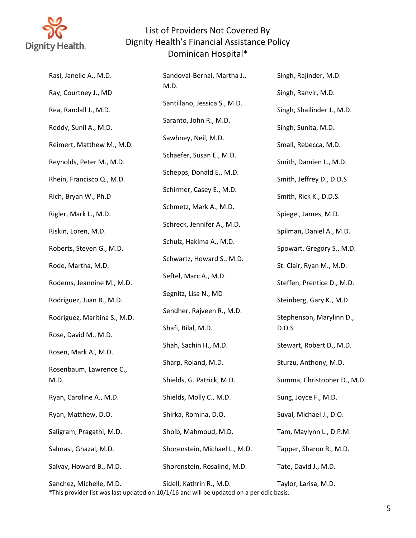

| Rasi, Janelle A., M.D.       | Sandoval-Bernal, Martha J.,   | Singh, Rajinder, M.D.             |
|------------------------------|-------------------------------|-----------------------------------|
| Ray, Courtney J., MD         | M.D.                          | Singh, Ranvir, M.D.               |
| Rea, Randall J., M.D.        | Santillano, Jessica S., M.D.  | Singh, Shailinder J., M.D.        |
| Reddy, Sunil A., M.D.        | Saranto, John R., M.D.        | Singh, Sunita, M.D.               |
| Reimert, Matthew M., M.D.    | Sawhney, Neil, M.D.           | Small, Rebecca, M.D.              |
| Reynolds, Peter M., M.D.     | Schaefer, Susan E., M.D.      | Smith, Damien L., M.D.            |
| Rhein, Francisco Q., M.D.    | Schepps, Donald E., M.D.      | Smith, Jeffrey D., D.D.S          |
| Rich, Bryan W., Ph.D         | Schirmer, Casey E., M.D.      | Smith, Rick K., D.D.S.            |
| Rigler, Mark L., M.D.        | Schmetz, Mark A., M.D.        | Spiegel, James, M.D.              |
| Riskin, Loren, M.D.          | Schreck, Jennifer A., M.D.    | Spilman, Daniel A., M.D.          |
| Roberts, Steven G., M.D.     | Schulz, Hakima A., M.D.       | Spowart, Gregory S., M.D.         |
| Rode, Martha, M.D.           | Schwartz, Howard S., M.D.     | St. Clair, Ryan M., M.D.          |
|                              | Seftel, Marc A., M.D.         |                                   |
| Rodems, Jeannine M., M.D.    | Segnitz, Lisa N., MD          | Steffen, Prentice D., M.D.        |
| Rodriguez, Juan R., M.D.     | Sendher, Rajveen R., M.D.     | Steinberg, Gary K., M.D.          |
| Rodriguez, Maritina S., M.D. | Shafi, Bilal, M.D.            | Stephenson, Marylinn D.,<br>D.D.S |
| Rose, David M., M.D.         | Shah, Sachin H., M.D.         | Stewart, Robert D., M.D.          |
| Rosen, Mark A., M.D.         | Sharp, Roland, M.D.           | Sturzu, Anthony, M.D.             |
| Rosenbaum, Lawrence C.,      |                               |                                   |
| M.D.                         | Shields, G. Patrick, M.D.     | Summa, Christopher D., M.D.       |
| Ryan, Caroline A., M.D.      | Shields, Molly C., M.D.       | Sung, Joyce F., M.D.              |
| Ryan, Matthew, D.O.          | Shirka, Romina, D.O.          | Suval, Michael J., D.O.           |
| Saligram, Pragathi, M.D.     | Shoib, Mahmoud, M.D.          | Tam, Maylynn L., D.P.M.           |
| Salmasi, Ghazal, M.D.        | Shorenstein, Michael L., M.D. | Tapper, Sharon R., M.D.           |
| Salvay, Howard B., M.D.      | Shorenstein, Rosalind, M.D.   | Tate, David J., M.D.              |
| Sanchez, Michelle, M.D.      | Sidell, Kathrin R., M.D.      | Taylor, Larisa, M.D.              |